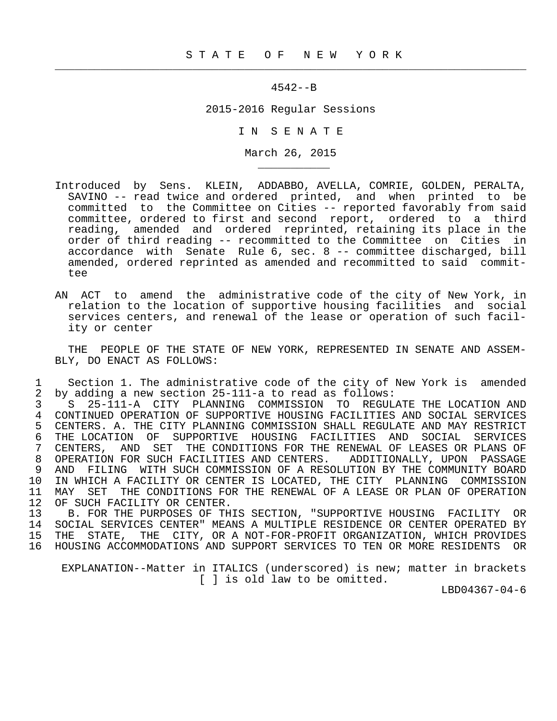$\frac{1}{2}$  , and the contribution of the contribution of the contribution of the contribution of the contribution of the contribution of the contribution of the contribution of the contribution of the contribution of the c

\_\_\_\_\_\_\_\_\_\_\_

## 4542--B

2015-2016 Regular Sessions

I N S E N A T E

March 26, 2015

- Introduced by Sens. KLEIN, ADDABBO, AVELLA, COMRIE, GOLDEN, PERALTA, SAVINO -- read twice and ordered printed, and when printed to be committed to the Committee on Cities -- reported favorably from said committee, ordered to first and second report, ordered to a third reading, amended and ordered reprinted, retaining its place in the order of third reading -- recommitted to the Committee on Cities in accordance with Senate Rule 6, sec. 8 -- committee discharged, bill amended, ordered reprinted as amended and recommitted to said commit tee
- AN ACT to amend the administrative code of the city of New York, in relation to the location of supportive housing facilities and social services centers, and renewal of the lease or operation of such facil ity or center

 THE PEOPLE OF THE STATE OF NEW YORK, REPRESENTED IN SENATE AND ASSEM- BLY, DO ENACT AS FOLLOWS:

1 Section 1. The administrative code of the city of New York is amended<br>2 by adding a new section 25-111-a to read as follows: 2 by adding a new section 25-111-a to read as follows:

 3 S 25-111-A CITY PLANNING COMMISSION TO REGULATE THE LOCATION AND 4 CONTINUED OPERATION OF SUPPORTIVE HOUSING FACILITIES AND SOCIAL SERVICES<br>5 CENTERS. A. THE CITY PLANNING COMMISSION SHALL REGULATE AND MAY RESTRICT 5 CENTERS. A. THE CITY PLANNING COMMISSION SHALL REGULATE AND MAY RESTRICT<br>6 THE LOCATION OF SUPPORTIVE HOUSING FACILITIES AND SOCIAL SERVICES 6 THE LOCATION OF SUPPORTIVE HOUSING FACILITIES AND SOCIAL SERVICES<br>7 CENTERS, AND SET THE CONDITIONS FOR THE RENEWAL OF LEASES OR PLANS OF 7 CENTERS, AND SET THE CONDITIONS FOR THE RENEWAL OF LEASES OR PLANS OF 8 OPERATION FOR SUCH FACILITIES AND CENTERS. ADDITIONALLY, UPON PASSAGE<br>9 AND FILING WITH SUCH COMMISSION OF A RESOLUTION BY THE COMMUNITY BOARD 9 AND FILING WITH SUCH COMMISSION OF A RESOLUTION BY THE COMMUNITY BOARD<br>10 IN WHICH A FACILITY OR CENTER IS LOCATED, THE CITY PLANNING COMMISSION 10 IN WHICH A FACILITY OR CENTER IS LOCATED, THE CITY PLANNING COMMISSION<br>11 MAY SET THE CONDITIONS FOR THE RENEWAL OF A LEASE OR PLAN OF OPERATION 11 MAY SET THE CONDITIONS FOR THE RENEWAL OF A LEASE OR PLAN OF OPERATION 12 OF SUCH FACTLITY OR CENTER. 12 OF SUCH FACILITY OR CENTER.<br>13 B. FOR THE PURPOSES OF TH

13 B. FOR THE PURPOSES OF THIS SECTION, "SUPPORTIVE HOUSING FACILITY OR<br>14 SOCIAL SERVICES CENTER" MEANS A MULTIPLE RESIDENCE OR CENTER OPERATED BY 14 SOCIAL SERVICES CENTER" MEANS A MULTIPLE RESIDENCE OR CENTER OPERATED BY 15 THE STATE, THE CITY, OR A NOT-FOR-PROFIT ORGANIZATION, WHICH PROVIDES 16 HOUSING ACCOMMODATIONS AND SUPPORT SERVICES TO TEN OR MORE RESIDENTS OR

 EXPLANATION--Matter in ITALICS (underscored) is new; matter in brackets [ ] is old law to be omitted.

LBD04367-04-6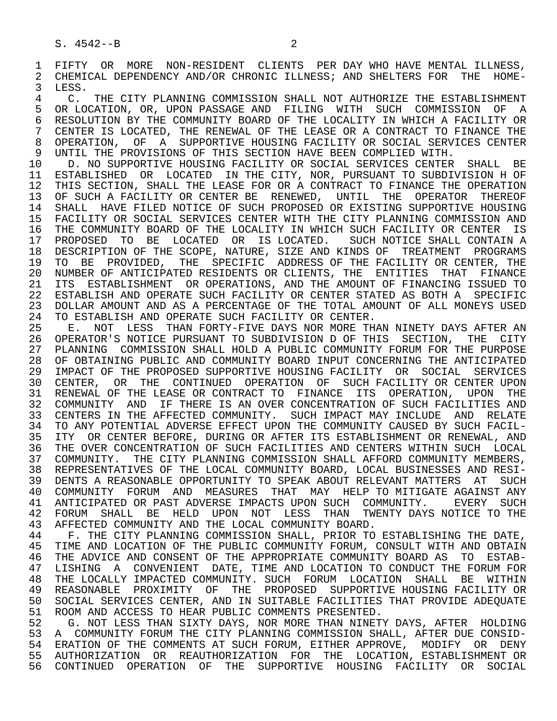1 FIFTY OR MORE NON-RESIDENT CLIENTS PER DAY WHO HAVE MENTAL ILLNESS,<br>2 CHEMICAL DEPENDENCY AND/OR CHRONIC ILLNESS; AND SHELTERS FOR THE HOME-2 CHEMICAL DEPENDENCY AND/OR CHRONIC ILLNESS; AND SHELTERS FOR THE HOME-<br>3 LESS. LESS.

4 C. THE CITY PLANNING COMMISSION SHALL NOT AUTHORIZE THE ESTABLISHMENT<br>5 OR LOCATION, OR, UPON PASSAGE AND FILING WITH SUCH COMMISSION OF A 5 OR LOCATION, OR, UPON PASSAGE AND FILING WITH SUCH COMMISSION OF A<br>6 RESOLUTION BY THE COMMUNITY BOARD OF THE LOCALITY IN WHICH A FACILITY OR 6 RESOLUTION BY THE COMMUNITY BOARD OF THE LOCALITY IN WHICH A FACILITY OR<br>7 CENTER IS LOCATED, THE RENEWAL OF THE LEASE OR A CONTRACT TO FINANCE THE 7 CENTER IS LOCATED, THE RENEWAL OF THE LEASE OR A CONTRACT TO FINANCE THE 18 OPERATION. OF A SUPPORTIVE HOUSING FACTLITY OR SOCIAL SERVICES CENTER 8 OPERATION, OF A SUPPORTIVE HOUSING FACILITY OR SOCIAL SERVICES CENTER<br>9 UNTIL THE PROVISIONS OF THIS SECTION HAVE BEEN COMPLIED WITH. 9 UNTIL THE PROVISIONS OF THIS SECTION HAVE BEEN COMPLIED WITH.<br>10 D. NO SUPPORTIVE HOUSING FACILITY OR SOCIAL SERVICES CENTER

10 D. NO SUPPORTIVE HOUSING FACILITY OR SOCIAL SERVICES CENTER SHALL BE<br>11 ESTABLISHED OR LOCATED IN THE CITY, NOR, PURSUANT TO SUBDIVISION HOF 11 ESTABLISHED OR LOCATED IN THE CITY, NOR, PURSUANT TO SUBDIVISION H OF<br>12 THIS SECTION, SHALL THE LEASE FOR OR A CONTRACT TO FINANCE THE OPERATION 12 THIS SECTION, SHALL THE LEASE FOR OR A CONTRACT TO FINANCE THE OPERATION<br>13 OF SUCH A FACILITY OR CENTER BE RENEWED, UNTIL THE OPERATOR THEREOF 13 OF SUCH A FACILITY OR CENTER BE RENEWED, UNTIL THE OPERATOR THEREOF<br>14 SHALL, HAVE FILED NOTICE OF SUCH PROPOSED OR EXISTING SUPPORTIVE HOUSING SHALL HAVE FILED NOTICE OF SUCH PROPOSED OR EXISTING SUPPORTIVE HOUSING 15 FACILITY OR SOCIAL SERVICES CENTER WITH THE CITY PLANNING COMMISSION AND<br>16 THE COMMUNITY BOARD OF THE LOCALITY IN WHICH SUCH FACILITY OR CENTER IS 16 THE COMMUNITY BOARD OF THE LOCALITY IN WHICH SUCH FACILITY OR CENTER IS<br>17 PROPOSED TO BE LOCATED OR IS LOCATED. SUCH NOTICE SHALL CONTAIN A 17 PROPOSED TO BE LOCATED OR IS LOCATED. SUCH NOTICE SHALL CONTAIN A<br>18 DESCRIPTION OF THE SCOPE, NATURE, SIZE AND KINDS OF TREATMENT PROGRAMS 18 DESCRIPTION OF THE SCOPE, NATURE, SIZE AND KINDS OF TREATMENT PROGRAMS<br>19 TO BE PROVIDED, THE SPECIFIC ADDRESS OF THE FACILITY OR CENTER, THE 19 TO BE PROVIDED, THE SPECIFIC ADDRESS OF THE FACILITY OR CENTER, THE 20 NUMBER OF ANTICIPATED RESIDENTS OR CLIENTS, THE ENTITIES THAT FINANCE 20 NUMBER OF ANTICIPATED RESIDENTS OR CLIENTS, THE ENTITIES THAT FINANCE<br>21 ITS ESTABLISHMENT OR OPERATIONS, AND THE AMOUNT OF FINANCING ISSUED TO 21 ITS ESTABLISHMENT OR OPERATIONS, AND THE AMOUNT OF FINANCING ISSUED TO<br>22 ESTABLISH AND OPERATE SUCH FACILITY OR CENTER STATED AS BOTH A SPECIFIC 22 ESTABLISH AND OPERATE SUCH FACILITY OR CENTER STATED AS BOTH A SPECIFIC<br>23 DOLLAR AMOUNT AND AS A PERCENTAGE OF THE TOTAL AMOUNT OF ALL MONEYS USED 23 DOLLAR AMOUNT AND AS A PERCENTAGE OF THE TOTAL AMOUNT OF ALL MONEYS USED 24 TO ESTABLISH AND OPERATE SUCH FACILITY OR CENTER.<br>25 E. NOT LESS THAN FORTY-FIVE DAYS NOR MORE TH

 25 E. NOT LESS THAN FORTY-FIVE DAYS NOR MORE THAN NINETY DAYS AFTER AN 26 OPERATOR'S NOTICE PURSUANT TO SUBDIVISION D OF THIS SECTION, THE CITY<br>27 PLANNING COMMISSION SHALL HOLD A PUBLIC COMMUNITY FORUM FOR THE PURPOSE 27 PLANNING COMMISSION SHALL HOLD A PUBLIC COMMUNITY FORUM FOR THE PURPOSE<br>28 OF OBTAINING PUBLIC AND COMMUNITY BOARD INPUT CONCERNING THE ANTICIPATED 28 OF OBTAINING PUBLIC AND COMMUNITY BOARD INPUT CONCERNING THE ANTICIPATED<br>29 IMPACT OF THE PROPOSED SUPPORTIVE HOUSING FACILITY OR SOCIAL SERVICES 29 IMPACT OF THE PROPOSED SUPPORTIVE HOUSING FACILITY OR SOCIAL SERVICES<br>30 CENTER, OR THE CONTINUED OPERATION OF SUCH FACILITY OR CENTER UPON 30 CENTER, OR THE CONTINUED OPERATION OF SUCH-FACILITY OR CENTER UPON THE LEASE OR CONTRACT TO FINANCE ITS OPERATION. UPON THE 31 RENEWAL OF THE LEASE OR CONTRACT TO FINANCE ITS OPERATION, UPON THE 32 COMMUNITY AND IF THERE IS AN OVER CONCENTRATION OF SUCH FACILITIES AND 32 COMMUNITY AND IF THERE IS AN OVER CONCENTRATION OF SUCH FACILITIES AND<br>33 CENTERS IN THE AFFECTED COMMUNITY. SUCH IMPACT MAY INCLUDE AND RELATE 33 CENTERS IN THE AFFECTED COMMUNITY. SUCH IMPACT MAY INCLUDE AND RELATE<br>34 TO ANY POTENTIAL ADVERSE EFFECT UPON THE COMMUNITY CAUSED BY SUCH FACIL-34 TO ANY POTENTIAL ADVERSE EFFECT UPON THE COMMUNITY CAUSED BY SUCH FACIL-<br>35 ITY OR CENTER BEFORE, DURING OR AFTER ITS ESTABLISHMENT OR RENEWAL, AND 35 ITY OR CENTER BEFORE, DURING OR AFTER ITS ESTABLISHMENT OR RENEWAL, AND<br>36 THE OVER CONCENTRATION OF SUCH FACILITIES AND CENTERS WITHIN SUCH LOCAL THE OVER CONCENTRATION OF SUCH FACILITIES AND CENTERS WITHIN SUCH LOCAL 37 COMMUNITY. THE CITY PLANNING COMMISSION SHALL AFFORD COMMUNITY MEMBERS,<br>38 REPRESENTATIVES OF THE LOCAL COMMUNITY BOARD, LOCAL BUSINESSES AND RESI- 38 REPRESENTATIVES OF THE LOCAL COMMUNITY BOARD, LOCAL BUSINESSES AND RESI- 39 DENTS A REASONABLE OPPORTUNITY TO SPEAK ABOUT RELEVANT MATTERS AT SUCH<br>40 COMMUNITY FORUM AND MEASURES THAT MAY HELP TO MITIGATE AGAINST ANY 40 COMMUNITY FORUM AND MEASURES THAT MAY HELP TO MITIGATE AGAINST ANY 41 ANTICLEATED OR PAST ADVERSE IMPACTS UPON SUCH COMMUNITY. 41 ANTICIPATED OR PAST ADVERSE IMPACTS UPON SUCH COMMUNITY. EVERY SUCH<br>42 FORUM SHALL BE HELD UPON NOT LESS THAN TWENTY DAYS\_NOTICE\_TO\_THE 42 FORUM SHALL BE HELD UPON NOT LESS THAN TWENTY DAYS<sup>N</sup>OTICE TO THE 43 AFFECTED COMMUNITY AND THE LOCAL COMMUNITY BOARD. 43 AFFECTED COMMUNITY AND THE LOCAL COMMUNITY BOARD.<br>44 F. THE CITY PLANNING COMMISSION SHALL, PRIOR TO

44 F. THE CITY PLANNING COMMISSION SHALL, PRIOR TO ESTABLISHING THE DATE,<br>45 TIME AND LOCATION OF THE PUBLIC COMMUNITY FORUM, CONSULT WITH AND OBTAIN TIME AND LOCATION OF THE PUBLIC COMMUNITY FORUM, CONSULT WITH AND OBTAIN 46 THE ADVICE AND CONSENT OF THE APPROPRIATE COMMUNITY BOARD AS TO ESTAB-<br>47 LISHING A CONVENIENT DATE, TIME AND LOCATION TO CONDUCT THE FORUM FOR 47 LISHING A CONVENIENT DATE, TIME AND LOCATION TO CONDUCT THE FORUM FOR 48 THE LOCALLY IMPACTED COMMUNITY, SUCH FORUM LOCATION SHALL BE WITHIN 48 THE LOCALLY IMPACTED COMMUNITY. SUCH FORUM LOCATION SHALL BE WITHIN 49 REASONABLE PROXIMITY OF THE PROPOSED SUPPORTIVE—HOUSING—FACILITY\_OR<br>50 SOCIAL SERVICES\_CENTER, AND IN SUITABLE FACILITIES THAT PROVIDE ADEOUATE 50 SOCIAL SERVICES CENTER, AND IN SUITABLE FACILITIES THAT PROVIDE ADEQUATE<br>51 ROOM AND ACCESS TO HEAR PUBLIC COMMENTS PRESENTED. 51 ROOM AND ACCESS TO HEAR PUBLIC COMMENTS PRESENTED.<br>52 G. NOT LESS THAN SIXTY DAYS, NOR MORE THAN NINET

52 G. NOT LESS THAN SIXTY DAYS, NOR MORE THAN NINETY DAYS, AFTER HOLDING<br>53 A COMMUNITY FORUM THE CITY PLANNING COMMISSION SHALL, AFTER DUE CONSID-53 A COMMUNITY FORUM THE CITY PLANNING COMMISSION SHALL, AFTER DUE CONSID-<br>54 ERATION OF THE COMMENTS AT SUCH FORUM, EITHER APPROVE, MODIFY OR DENY 54 ERATION OF THE COMMENTS AT SUCH FORUM, EITHER APPROVE, MODIFY OR DENY<br>55 AUTHORIZATION OR REAUTHORIZATION FOR THE LOCATION, ESTABLISHMENT OR 55 AUTHORIZATION OR REAUTHORIZATION FOR THE LOCATION, ESTABLISHMENT OR 56 CONTINUED OPERATION OF THE SUPPORTIVE HOUSING FACILITY OR SOCIAL